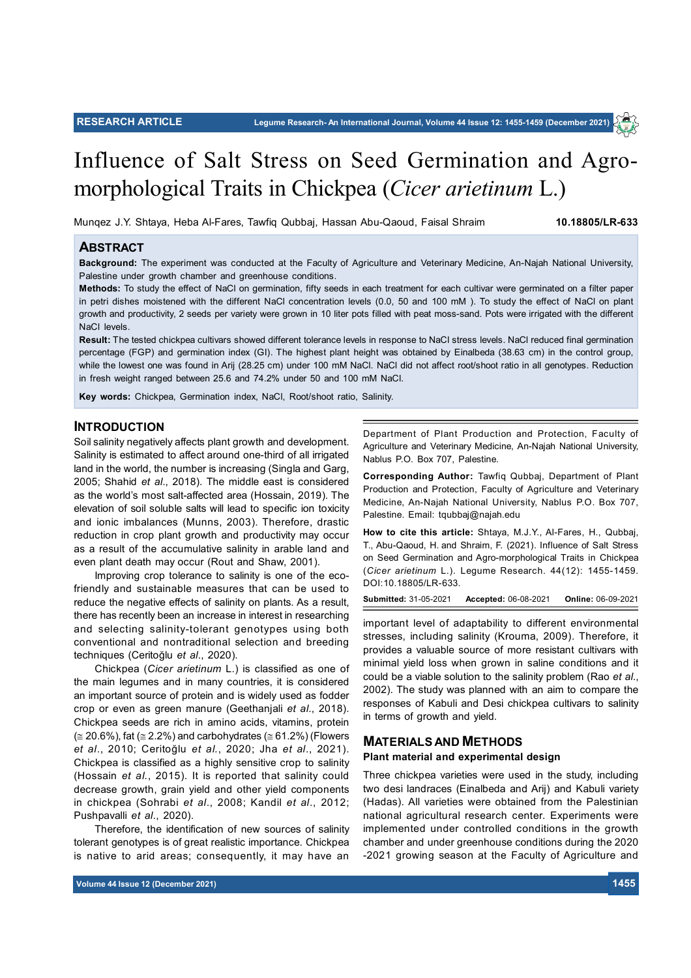

Munqez J.Y. Shtaya, Heba Al-Fares, Tawfiq Qubbaj, Hassan Abu-Qaoud, Faisal Shraim **10.18805/LR-633**

# **ABSTRACT**

**Background:** The experiment was conducted at the Faculty of Agriculture and Veterinary Medicine, An-Najah National University, Palestine under growth chamber and greenhouse conditions.

**Methods:** To study the effect of NaCl on germination, fifty seeds in each treatment for each cultivar were germinated on a filter paper in petri dishes moistened with the different NaCl concentration levels (0.0, 50 and 100 mM ). To study the effect of NaCl on plant growth and productivity, 2 seeds per variety were grown in 10 liter pots filled with peat moss-sand. Pots were irrigated with the different NaCl levels.

**Result:** The tested chickpea cultivars showed different tolerance levels in response to NaCl stress levels. NaCl reduced final germination percentage (FGP) and germination index (GI). The highest plant height was obtained by Einalbeda (38.63 cm) in the control group, while the lowest one was found in Arij (28.25 cm) under 100 mM NaCl. NaCl did not affect root/shoot ratio in all genotypes. Reduction in fresh weight ranged between 25.6 and 74.2% under 50 and 100 mM NaCl.

**Key words:** Chickpea, Germination index, NaCl, Root/shoot ratio, Salinity.

# **INTRODUCTION**

Soil salinity negatively affects plant growth and development. Salinity is estimated to affect around one-third of all irrigated land in the world, the number is increasing (Singla and Garg, 2005; Shahid *et al*., 2018). The middle east is considered as the world's most salt-affected area (Hossain, 2019). The elevation of soil soluble salts will lead to specific ion toxicity and ionic imbalances (Munns, 2003). Therefore, drastic reduction in crop plant growth and productivity may occur as a result of the accumulative salinity in arable land and even plant death may occur (Rout and Shaw, 2001).

Improving crop tolerance to salinity is one of the ecofriendly and sustainable measures that can be used to reduce the negative effects of salinity on plants. As a result, there has recently been an increase in interest in researching and selecting salinity-tolerant genotypes using both conventional and nontraditional selection and breeding techniques (Ceritoğlu *et al*., 2020).

Chickpea (*Cicer arietinum* L.) is classified as one of the main legumes and in many countries, it is considered an important source of protein and is widely used as fodder crop or even as green manure (Geethanjali *et al*., 2018). Chickpea seeds are rich in amino acids, vitamins, protein  $(\approx 20.6\%)$ , fat ( $\approx 2.2\%$ ) and carbohydrates ( $\approx 61.2\%$ ) (Flowers *et al*., 2010; Ceritoğlu *et al.*, 2020; Jha *et al*., 2021). Chickpea is classified as a highly sensitive crop to salinity (Hossain *et al.*, 2015). It is reported that salinity could decrease growth, grain yield and other yield components in chickpea (Sohrabi *et al*., 2008; Kandil *et al*., 2012; Pushpavalli *et al*., 2020).

Therefore, the identification of new sources of salinity tolerant genotypes is of great realistic importance. Chickpea is native to arid areas; consequently, it may have an Department of Plant Production and Protection, Faculty of Agriculture and Veterinary Medicine, An-Najah National University, Nablus P.O. Box 707, Palestine.

**Corresponding Author:** Tawfiq Qubbaj, Department of Plant Production and Protection, Faculty of Agriculture and Veterinary Medicine, An-Najah National University, Nablus P.O. Box 707, Palestine. Email: tqubbaj@najah.edu

**How to cite this article:** Shtaya, M.J.Y., Al-Fares, H., Qubbaj, T., Abu-Qaoud, H. and Shraim, F. (2021). Influence of Salt Stress on Seed Germination and Agro-morphological Traits in Chickpea (*Cicer arietinum* L.). Legume Research. 44(12): 1455-1459. DOI:10.18805/LR-633.

**Submitted:** 31-05-2021 **Accepted:** 06-08-2021 **Online:** 06-09-2021

important level of adaptability to different environmental stresses, including salinity (Krouma, 2009). Therefore, it provides a valuable source of more resistant cultivars with minimal yield loss when grown in saline conditions and it could be a viable solution to the salinity problem (Rao *et al*., 2002). The study was planned with an aim to compare the responses of Kabuli and Desi chickpea cultivars to salinity in terms of growth and yield.

#### **MATERIALS AND METHODS**

#### **Plant material and experimental design**

Three chickpea varieties were used in the study, including two desi landraces (Einalbeda and Arij) and Kabuli variety (Hadas). All varieties were obtained from the Palestinian national agricultural research center. Experiments were implemented under controlled conditions in the growth chamber and under greenhouse conditions during the 2020 -2021 growing season at the Faculty of Agriculture and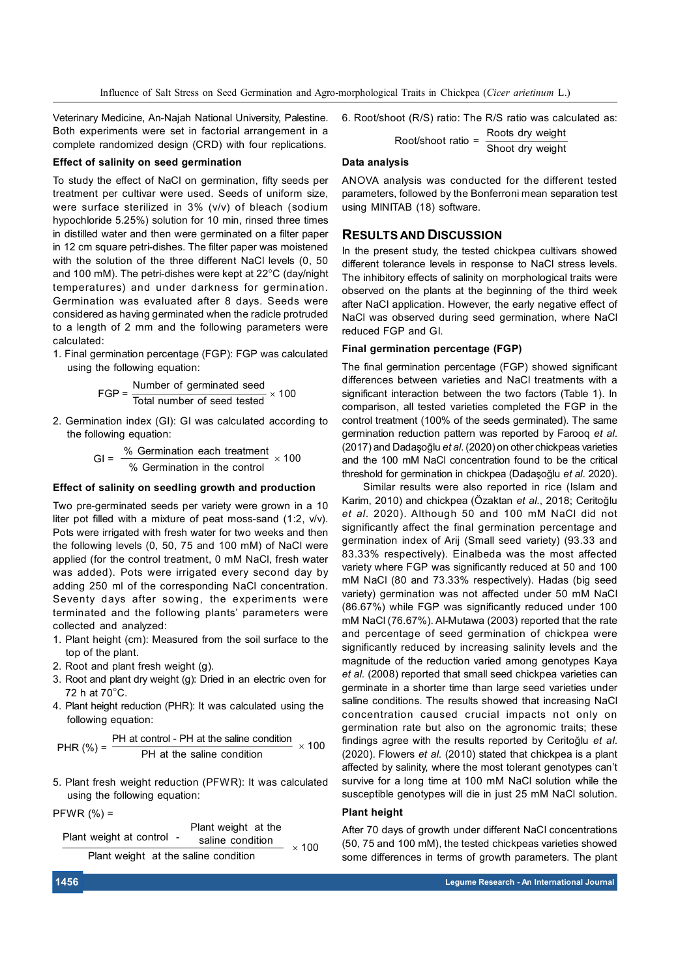Influence of Salt Stress on Seed Germination and Agro-morphological Traits in Chickpea (*Cicer arietinum* L.)

**Data analysis**

Veterinary Medicine, An-Najah National University, Palestine. Both experiments were set in factorial arrangement in a complete randomized design (CRD) with four replications.

6. Root/shoot (R/S) ratio: The R/S ratio was calculated as:

Root/shoot ratio =

Roots dry weight Shoot dry weight

## **Effect of salinity on seed germination**

To study the effect of NaCl on germination, fifty seeds per treatment per cultivar were used. Seeds of uniform size, were surface sterilized in 3% (v/v) of bleach (sodium hypochloride 5.25%) solution for 10 min, rinsed three times in distilled water and then were germinated on a filter paper in 12 cm square petri-dishes. The filter paper was moistened with the solution of the three different NaCl levels (0, 50 and 100 mM). The petri-dishes were kept at  $22^{\circ}$ C (day/night temperatures) and under darkness for germination. Germination was evaluated after 8 days. Seeds were considered as having germinated when the radicle protruded to a length of 2 mm and the following parameters were calculated:

1. Final germination percentage (FGP): FGP was calculated using the following equation:

$$
FGP = \frac{\text{Number of germinated seed}}{\text{Total number of seed tested}} \times 100
$$

2. Germination index (GI): GI was calculated according to the following equation:

$$
GI = \frac{\% \text{ Germination each treatment}}{\% \text{ Germination in the control}} \times 100
$$

## **Effect of salinity on seedling growth and production**

Two pre-germinated seeds per variety were grown in a 10 liter pot filled with a mixture of peat moss-sand (1:2, v/v). Pots were irrigated with fresh water for two weeks and then the following levels (0, 50, 75 and 100 mM) of NaCl were applied (for the control treatment, 0 mM NaCl, fresh water was added). Pots were irrigated every second day by adding 250 ml of the corresponding NaCl concentration. Seventy days after sowing, the experiments were terminated and the following plants' parameters were collected and analyzed:

- 1. Plant height (cm): Measured from the soil surface to the top of the plant.
- 2. Root and plant fresh weight (g).
- 3. Root and plant dry weight (g): Dried in an electric oven for 72 h at  $70^{\circ}$ C.
- 4. Plant height reduction (PHR): It was calculated using the following equation:

PHR (%) = 
$$
\frac{\text{PH at control - PH at the saline condition}}{\text{PH at the saline condition}} \times 100
$$

5. Plant fresh weight reduction (PFWR): It was calculated using the following equation:

 $PFWR (%) =$ 

Plant weight at the  
\nPlant weight at control -  
\nFlant weight at the saline condition  
\n
$$
\times 100
$$

ANOVA analysis was conducted for the different tested parameters, followed by the Bonferroni mean separation test using MINITAB (18) software.

# **RESULTS AND DISCUSSION**

In the present study, the tested chickpea cultivars showed different tolerance levels in response to NaCl stress levels. The inhibitory effects of salinity on morphological traits were observed on the plants at the beginning of the third week after NaCl application. However, the early negative effect of NaCl was observed during seed germination, where NaCl reduced FGP and GI.

## **Final germination percentage (FGP)**

The final germination percentage (FGP) showed significant differences between varieties and NaCl treatments with a significant interaction between the two factors (Table 1). In comparison, all tested varieties completed the FGP in the control treatment (100% of the seeds germinated). The same germination reduction pattern was reported by Farooq *et al*. (2017) and Dadaşoğlu *et al*. (2020) on other chickpeas varieties and the 100 mM NaCl concentration found to be the critical threshold for germination in chickpea (Dadaşoğlu *et al*. 2020).

Similar results were also reported in rice (Islam and Karim, 2010) and chickpea (Özaktan *et al*., 2018; Ceritoğlu *et al*. 2020). Although 50 and 100 mM NaCl did not significantly affect the final germination percentage and germination index of Arij (Small seed variety) (93.33 and 83.33% respectively). Einalbeda was the most affected variety where FGP was significantly reduced at 50 and 100 mM NaCl (80 and 73.33% respectively). Hadas (big seed variety) germination was not affected under 50 mM NaCl (86.67%) while FGP was significantly reduced under 100 mM NaCl (76.67%). Al-Mutawa (2003) reported that the rate and percentage of seed germination of chickpea were significantly reduced by increasing salinity levels and the magnitude of the reduction varied among genotypes Kaya *et al*. (2008) reported that small seed chickpea varieties can germinate in a shorter time than large seed varieties under saline conditions. The results showed that increasing NaCl concentration caused crucial impacts not only on germination rate but also on the agronomic traits; these findings agree with the results reported by Ceritoğlu *et al*. (2020). Flowers *et al*. (2010) stated that chickpea is a plant affected by salinity, where the most tolerant genotypes can't survive for a long time at 100 mM NaCl solution while the susceptible genotypes will die in just 25 mM NaCl solution.

# **Plant height**

After 70 days of growth under different NaCl concentrations (50, 75 and 100 mM), the tested chickpeas varieties showed some differences in terms of growth parameters. The plant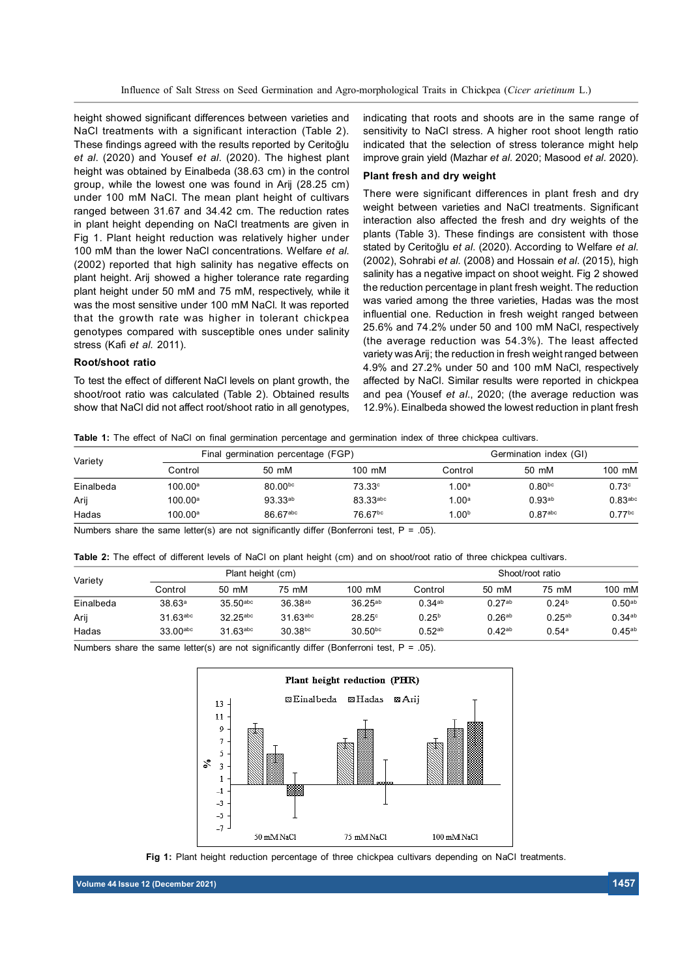Influence of Salt Stress on Seed Germination and Agro-morphological Traits in Chickpea (*Cicer arietinum* L.)

height showed significant differences between varieties and NaCl treatments with a significant interaction (Table 2). These findings agreed with the results reported by Ceritoğlu *et al*. (2020) and Yousef *et al*. (2020). The highest plant height was obtained by Einalbeda (38.63 cm) in the control group, while the lowest one was found in Arij (28.25 cm) under 100 mM NaCl. The mean plant height of cultivars ranged between 31.67 and 34.42 cm. The reduction rates in plant height depending on NaCl treatments are given in Fig 1. Plant height reduction was relatively higher under 100 mM than the lower NaCl concentrations. Welfare *et al*. (2002) reported that high salinity has negative effects on plant height. Arij showed a higher tolerance rate regarding plant height under 50 mM and 75 mM, respectively, while it was the most sensitive under 100 mM NaCl. It was reported that the growth rate was higher in tolerant chickpea genotypes compared with susceptible ones under salinity stress (Kafi *et al*. 2011).

# **Root/shoot ratio**

To test the effect of different NaCl levels on plant growth, the shoot/root ratio was calculated (Table 2). Obtained results show that NaCl did not affect root/shoot ratio in all genotypes, indicating that roots and shoots are in the same range of sensitivity to NaCl stress. A higher root shoot length ratio indicated that the selection of stress tolerance might help improve grain yield (Mazhar *et al*. 2020; Masood *et al*. 2020).

#### **Plant fresh and dry weight**

There were significant differences in plant fresh and dry weight between varieties and NaCl treatments. Significant interaction also affected the fresh and dry weights of the plants (Table 3). These findings are consistent with those stated by Ceritoğlu *et al*. (2020). According to Welfare *et al*. (2002), Sohrabi *et al*. (2008) and Hossain *et al*. (2015), high salinity has a negative impact on shoot weight. Fig 2 showed the reduction percentage in plant fresh weight. The reduction was varied among the three varieties, Hadas was the most influential one. Reduction in fresh weight ranged between 25.6% and 74.2% under 50 and 100 mM NaCl, respectively (the average reduction was 54.3%). The least affected variety was Arij; the reduction in fresh weight ranged between 4.9% and 27.2% under 50 and 100 mM NaCl, respectively affected by NaCl. Similar results were reported in chickpea and pea (Yousef *et al*., 2020; (the average reduction was 12.9%). Einalbeda showed the lowest reduction in plant fresh

**Table 1:** The effect of NaCl on final germination percentage and germination index of three chickpea cultivars.

| Variety   |                     | Final germination percentage (FGP) | Germination index (GI) |                   |                     |                      |  |
|-----------|---------------------|------------------------------------|------------------------|-------------------|---------------------|----------------------|--|
|           | Control             | 50 mM                              | $100 \text{ mM}$       | Control           | 50 mM               | 100 mM               |  |
| Einalbeda | $100.00^{\circ}$    | $80.00^{bc}$                       | $73.33^\circ$          | 1.00 <sup>a</sup> | $0.80^{bc}$         | 0.73c                |  |
| Arij      | $100.00^{\text{a}}$ | $93.33^{ab}$                       | 83.33 <sup>abc</sup>   | 1.00 <sup>a</sup> | $0.93^{ab}$         | $0.83$ abc           |  |
| Hadas     | $100.00^a$          | 86.67abc                           | 76.67bc                | 1.00 <sup>b</sup> | 0.87 <sup>abc</sup> | $0.77$ <sup>bc</sup> |  |

Numbers share the same letter(s) are not significantly differ (Bonferroni test,  $P = .05$ ).

| Table 2: The effect of different levels of NaCl on plant height (cm) and on shoot/root ratio of three chickpea cultivars. |  |  |  |  |  |  |  |  |  |  |  |  |  |  |  |  |  |  |  |  |
|---------------------------------------------------------------------------------------------------------------------------|--|--|--|--|--|--|--|--|--|--|--|--|--|--|--|--|--|--|--|--|
|---------------------------------------------------------------------------------------------------------------------------|--|--|--|--|--|--|--|--|--|--|--|--|--|--|--|--|--|--|--|--|

| Variety   |                        | Plant height (cm)      |                        |                  | Shoot/root ratio |             |                   |             |  |
|-----------|------------------------|------------------------|------------------------|------------------|------------------|-------------|-------------------|-------------|--|
|           | Control                | 50 mM                  | 75 mM                  | $100 \text{ mM}$ | Control          | 50 mM       | 75 mM             | 100 mM      |  |
| Einalbeda | 38.63a                 | $35.50$ <sup>abc</sup> | $36.38^{ab}$           | $36.25^{ab}$     | $0.34^{ab}$      | $0.27^{ab}$ | 0.24 <sup>b</sup> | $0.50^{ab}$ |  |
| Arij      | $31.63$ <sup>abc</sup> | $32.25$ <sup>abc</sup> | $31.63$ <sup>abc</sup> | $28.25^\circ$    | $0.25^{b}$       | $0.26^{ab}$ | $0.25^{ab}$       | $0.34^{ab}$ |  |
| Hadas     | $33.00$ <sup>abc</sup> | $31.63$ <sup>abc</sup> | $30.38^{bc}$           | $30.50^{bc}$     | $0.52^{ab}$      | $0.42^{ab}$ | 0.54a             | $0.45^{ab}$ |  |

Numbers share the same letter(s) are not significantly differ (Bonferroni test,  $P = .05$ ).





**Volume 44 Issue 12 (December 2021) 1457**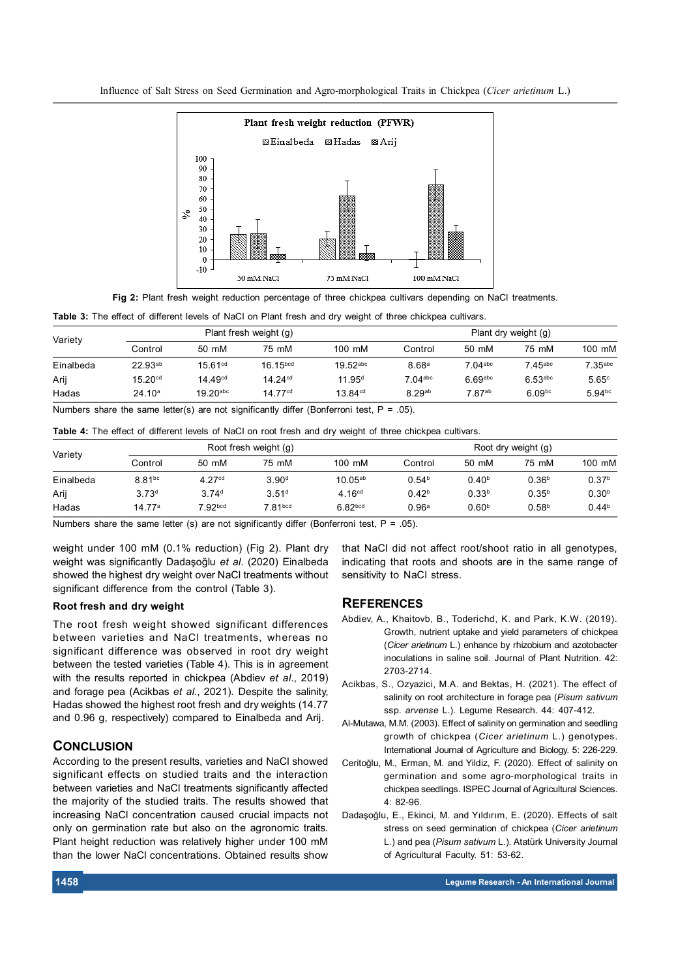Influence of Salt Stress on Seed Germination and Agro-morphological Traits in Chickpea (*Cicer arietinum* L.)



**Fig 2:** Plant fresh weight reduction percentage of three chickpea cultivars depending on NaCl treatments.

**Table 3:** The effect of different levels of NaCl on Plant fresh and dry weight of three chickpea cultivars.

| Variety   |                     |                        | Plant fresh weight (g) | Plant dry weight (g)   |                    |                       |                       |                       |  |
|-----------|---------------------|------------------------|------------------------|------------------------|--------------------|-----------------------|-----------------------|-----------------------|--|
|           | Control             | 50 mM                  | 75 mM                  | $100 \text{ mM}$       | Control            | 50 mM                 | 75 mM                 | 100 mM                |  |
| Einalbeda | $22.93^{ab}$        | 15.61 <sup>cd</sup>    | 16.15 <sup>bcd</sup>   | $19.52$ <sup>abc</sup> | 8.68 <sup>a</sup>  | $7.04$ <sup>abc</sup> | $7.45$ <sup>abc</sup> | $7.35$ <sup>abc</sup> |  |
| Arij      | 15.20 <sup>cd</sup> | 14.49 <sup>cd</sup>    | 14.24 <sup>cd</sup>    | 11.95 <sup>d</sup>     | $7.04$ abc         | $6.69$ abc            | $6.53$ <sup>abc</sup> | 5.65c                 |  |
| Hadas     | 24.10 <sup>a</sup>  | $19.20$ <sup>abc</sup> | 14.77 <sup>cd</sup>    | 13.84 <sup>cd</sup>    | 8.29 <sup>ab</sup> | 7.87ab                | $6.09^{bc}$           | $5.94^{bc}$           |  |

Numbers share the same letter(s) are not significantly differ (Bonferroni test,  $P = .05$ ).

|  |  |  |  |  | Table 4: The effect of different levels of NaCI on root fresh and dry weight of three chickpea cultivars. |  |
|--|--|--|--|--|-----------------------------------------------------------------------------------------------------------|--|
|--|--|--|--|--|-----------------------------------------------------------------------------------------------------------|--|

| Variety   |                   |                    | Root fresh weight (g) | Root dry weight (g) |                   |                   |                   |                   |  |
|-----------|-------------------|--------------------|-----------------------|---------------------|-------------------|-------------------|-------------------|-------------------|--|
|           | Control           | 50 mM              | 75 mM                 | $100 \text{ mM}$    | Control           | 50 mM             | 75 mM             | $100 \text{ mM}$  |  |
| Einalbeda | $8.81^{bc}$       | 4.27 <sup>cd</sup> | 3.90 <sup>d</sup>     | $10.05^{ab}$        | 0.54 <sup>b</sup> | 0.40 <sup>b</sup> | 0.36 <sup>b</sup> | 0.37 <sup>b</sup> |  |
| Arij      | 3.73 <sup>d</sup> | 3.74 <sup>d</sup>  | 3.51 <sup>d</sup>     | 4.16 <sup>cd</sup>  | 0.42 <sup>b</sup> | 0.33 <sup>b</sup> | $0.35^{b}$        | 0.30 <sup>b</sup> |  |
| Hadas     | 14.77a            | $7.92$ bcd         | 7.81 <sub>bcd</sub>   | 6.82 <sub>bcd</sub> | 0.96 <sup>a</sup> | 0.60 <sup>b</sup> | 0.58 <sup>b</sup> | 0.44 <sup>b</sup> |  |

Numbers share the same letter (s) are not significantly differ (Bonferroni test,  $P = .05$ ).

weight under 100 mM (0.1% reduction) (Fig 2). Plant dry weight was significantly Dadaşoğlu *et al*. (2020) Einalbeda showed the highest dry weight over NaCl treatments without significant difference from the control (Table 3).

## **Root fresh and dry weight**

The root fresh weight showed significant differences between varieties and NaCl treatments, whereas no significant difference was observed in root dry weight between the tested varieties (Table 4). This is in agreement with the results reported in chickpea (Abdiev *et al*., 2019) and forage pea (Acikbas *et al*., 2021). Despite the salinity, Hadas showed the highest root fresh and dry weights (14.77 and 0.96 g, respectively) compared to Einalbeda and Arij.

# **CONCLUSION**

According to the present results, varieties and NaCl showed significant effects on studied traits and the interaction between varieties and NaCl treatments significantly affected the majority of the studied traits. The results showed that increasing NaCl concentration caused crucial impacts not only on germination rate but also on the agronomic traits. Plant height reduction was relatively higher under 100 mM than the lower NaCl concentrations. Obtained results show

that NaCl did not affect root/shoot ratio in all genotypes, indicating that roots and shoots are in the same range of sensitivity to NaCl stress.

#### **REFERENCES**

- Abdiev, A., Khaitovb, B., Toderichd, K. and Park, K.W. (2019). Growth, nutrient uptake and yield parameters of chickpea (*Cicer arietinum* L.) enhance by rhizobium and azotobacter inoculations in saline soil. Journal of Plant Nutrition. 42: 2703-2714.
- Acikbas, S., Ozyazici, M.A. and Bektas, H. (2021). The effect of salinity on root architecture in forage pea (*Pisum sativum* ssp. *arvense* L.). Legume Research. 44: 407-412.
- Al-Mutawa, M.M. (2003). Effect of salinity on germination and seedling growth of chickpea (*Cicer arietinum* L.) genotypes. International Journal of Agriculture and Biology. 5: 226-229.
- Ceritoğlu, M., Erman, M. and Yildiz, F. (2020). Effect of salinity on germination and some agro-morphological traits in chickpea seedlings. ISPEC Journal of Agricultural Sciences. 4: 82-96.
- Dadaşoğlu, E., Ekinci, M. and Yıldırım, E. (2020). Effects of salt stress on seed germination of chickpea (*Cicer arietinum* L.) and pea (*Pisum sativum* L.). Atatürk University Journal of Agricultural Faculty. 51: 53-62.